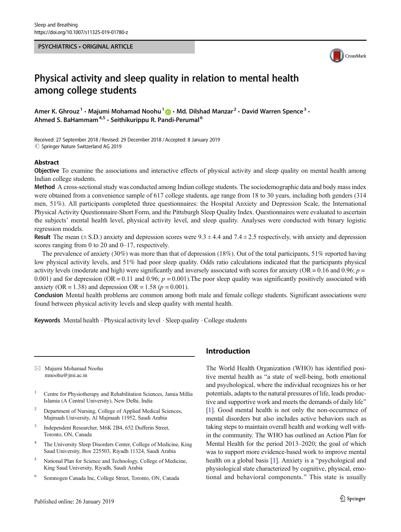#### PSYCHIATRICS • ORIGINAL ARTICLE



# Physical activity and sleep quality in relation to mental health among college students

Amer K. Ghrouz<sup>1</sup> • Majumi Mohamad Noohu<sup>1</sup>  $\bullet$  • Md. Dilshad Manzar<sup>2</sup> • David Warren Spence<sup>3</sup> • Ahmed S. BaHammam<sup>4,5</sup> · Seithikurippu R. Pandi-Perumal<sup>6</sup>

Received: 27 September 2018 / Revised: 29 December 2018 / Accepted: 8 January 2019  $\circled{c}$  Springer Nature Switzerland AG 2019

#### Abstract

Objective To examine the associations and interactive effects of physical activity and sleep quality on mental health among Indian college students.

Method A cross-sectional study was conducted among Indian college students. The sociodemographic data and body mass index were obtained from a convenience sample of 617 college students, age range from 18 to 30 years, including both genders (314 men, 51%). All participants completed three questionnaires: the Hospital Anxiety and Depression Scale, the International Physical Activity Questionnaire-Short Form, and the Pittsburgh Sleep Quality Index. Questionnaires were evaluated to ascertain the subjects' mental health level, physical activity level, and sleep quality. Analyses were conducted with binary logistic regression models.

**Result** The mean ( $\pm$  S.D.) anxiety and depression scores were  $9.3 \pm 4.4$  and  $7.4 \pm 2.5$  respectively, with anxiety and depression scores ranging from 0 to 20 and 0–17, respectively.

The prevalence of anxiety (30%) was more than that of depression (18%). Out of the total participants, 51% reported having low physical activity levels, and 51% had poor sleep quality. Odds ratio calculations indicated that the participants physical activity levels (moderate and high) were significantly and inversely associated with scores for anxiety (OR =  $0.16$  and  $0.96$ ;  $p =$ 0.001) and for depression (OR = 0.11 and 0.96;  $p = 0.001$ ). The poor sleep quality was significantly positively associated with anxiety (OR = 1.38) and depression OR = 1.58 ( $p = 0.001$ ).

Conclusion Mental health problems are common among both male and female college students. Significant associations were found between physical activity levels and sleep quality with mental health.

**Keywords** Mental health  $\cdot$  Physical activity level  $\cdot$  Sleep quality  $\cdot$  College students

 $\boxtimes$  Majumi Mohamad Noohu [mnoohu@jmi.ac.in](mailto:mnoohu@jmi.ac.in)

- <sup>1</sup> Centre for Physiotherapy and Rehabilitation Sciences, Jamia Millia Islamia (A Central University), New Delhi, India
- Department of Nursing, College of Applied Medical Sciences, Majmaah University, Al Majmaah 11952, Saudi Arabia
- <sup>3</sup> Independent Researcher, M6K 2B4, 652 Dufferin Street, Toronto, ON, Canada
- The University Sleep Disorders Center, College of Medicine, King Saud University, Box 225503, Riyadh 11324, Saudi Arabia
- <sup>5</sup> National Plan for Science and Technology, College of Medicine, King Saud University, Riyadh, Saudi Arabia
- <sup>6</sup> Somnogen Canada Inc, College Street, Toronto, ON, Canada

## Introduction

The World Health Organization (WHO) has identified positive mental health as "a state of well-being, both emotional and psychological, where the individual recognizes his or her potentials, adapts to the natural pressures of life, leads productive and supportive work and meets the demands of daily life" [\[1](#page-5-0)]. Good mental health is not only the non-occurrence of mental disorders but also includes active behaviors such as taking steps to maintain overall health and working well within the community. The WHO has outlined an Action Plan for Mental Health for the period 2013–2020; the goal of which was to support more evidence-based work to improve mental health on a global basis  $[1]$ . Anxiety is a "psychological and physiological state characterized by cognitive, physical, emotional and behavioral components.^ This state is usually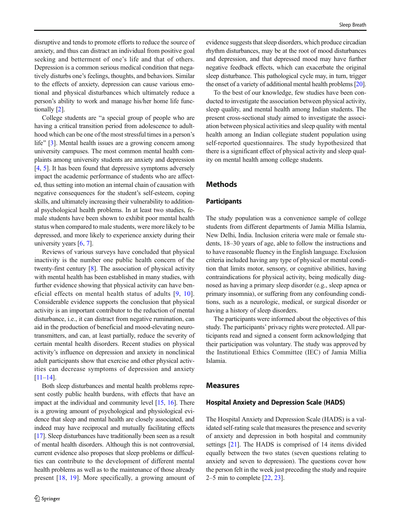disruptive and tends to promote efforts to reduce the source of anxiety, and thus can distract an individual from positive goal seeking and betterment of one's life and that of others. Depression is a common serious medical condition that negatively disturbs one's feelings, thoughts, and behaviors. Similar to the effects of anxiety, depression can cause various emotional and physical disturbances which ultimately reduce a person's ability to work and manage his/her home life functionally [\[2](#page-5-0)].

College students are "a special group of people who are having a critical transition period from adolescence to adulthood which can be one of the most stressful times in a person's life" [[3\]](#page-5-0). Mental health issues are a growing concern among university campuses. The most common mental health complaints among university students are anxiety and depression [\[4](#page-5-0), [5](#page-6-0)]. It has been found that depressive symptoms adversely impact the academic performance of students who are affected, thus setting into motion an internal chain of causation with negative consequences for the student's self-esteem, coping skills, and ultimately increasing their vulnerability to additional psychological health problems. In at least two studies, female students have been shown to exhibit poor mental health status when compared to male students, were more likely to be depressed, and more likely to experience anxiety during their university years  $[6, 7]$  $[6, 7]$  $[6, 7]$  $[6, 7]$ .

Reviews of various surveys have concluded that physical inactivity is the number one public health concern of the twenty-first century [[8\]](#page-6-0). The association of physical activity with mental health has been established in many studies, with further evidence showing that physical activity can have beneficial effects on mental health status of adults [[9](#page-6-0), [10](#page-6-0)]. Considerable evidence supports the conclusion that physical activity is an important contributor to the reduction of mental disturbance, i.e., it can distract from negative rumination, can aid in the production of beneficial and mood-elevating neurotransmitters, and can, at least partially, reduce the severity of certain mental health disorders. Recent studies on physical activity's influence on depression and anxiety in nonclinical adult participants show that exercise and other physical activities can decrease symptoms of depression and anxiety [\[11](#page-6-0)–[14](#page-6-0)].

Both sleep disturbances and mental health problems represent costly public health burdens, with effects that have an impact at the individual and community level [[15](#page-6-0), [16](#page-6-0)]. There is a growing amount of psychological and physiological evidence that sleep and mental health are closely associated, and indeed may have reciprocal and mutually facilitating effects [\[17\]](#page-6-0). Sleep disturbances have traditionally been seen as a result of mental health disorders. Although this is not controversial, current evidence also proposes that sleep problems or difficulties can contribute to the development of different mental health problems as well as to the maintenance of those already present [\[18](#page-6-0), [19\]](#page-6-0). More specifically, a growing amount of evidence suggests that sleep disorders, which produce circadian rhythm disturbances, may be at the root of mood disturbances and depression, and that depressed mood may have further negative feedback effects, which can exacerbate the original sleep disturbance. This pathological cycle may, in turn, trigger the onset of a variety of additional mental health problems [\[20\]](#page-6-0).

To the best of our knowledge, few studies have been conducted to investigate the association between physical activity, sleep quality, and mental health among Indian students. The present cross-sectional study aimed to investigate the association between physical activities and sleep quality with mental health among an Indian collegiate student population using self-reported questionnaires. The study hypothesized that there is a significant effect of physical activity and sleep quality on mental health among college students.

## Methods

#### **Participants**

The study population was a convenience sample of college students from different departments of Jamia Millia Islamia, New Delhi, India. Inclusion criteria were male or female students, 18–30 years of age, able to follow the instructions and to have reasonable fluency in the English language. Exclusion criteria included having any type of physical or mental condition that limits motor, sensory, or cognitive abilities, having contraindications for physical activity, being medically diagnosed as having a primary sleep disorder (e.g., sleep apnea or primary insomnia), or suffering from any confounding conditions, such as a neurologic, medical, or surgical disorder or having a history of sleep disorders.

The participants were informed about the objectives of this study. The participants' privacy rights were protected. All participants read and signed a consent form acknowledging that their participation was voluntary. The study was approved by the Institutional Ethics Committee (IEC) of Jamia Millia Islamia.

#### Measures

#### Hospital Anxiety and Depression Scale (HADS)

The Hospital Anxiety and Depression Scale (HADS) is a validated self-rating scale that measures the presence and severity of anxiety and depression in both hospital and community settings [\[21](#page-6-0)]. The HADS is comprised of 14 items divided equally between the two states (seven questions relating to anxiety and seven to depression). The questions cover how the person felt in the week just preceding the study and require 2–5 min to complete [[22](#page-6-0), [23](#page-6-0)].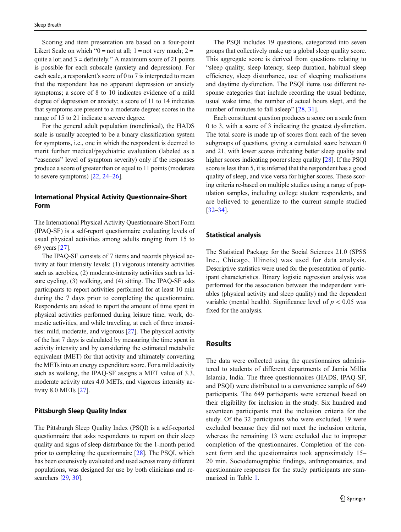Scoring and item presentation are based on a four-point Likert Scale on which " $0 =$  not at all; 1 = not very much; 2 = quite a lot; and  $3 =$  definitely." A maximum score of 21 points is possible for each subscale (anxiety and depression). For each scale, a respondent's score of 0 to 7 is interpreted to mean that the respondent has no apparent depression or anxiety symptoms; a score of 8 to 10 indicates evidence of a mild degree of depression or anxiety; a score of 11 to 14 indicates that symptoms are present to a moderate degree; scores in the range of 15 to 21 indicate a severe degree.

For the general adult population (nonclinical), the HADS scale is usually accepted to be a binary classification system for symptoms, i.e., one in which the respondent is deemed to merit further medical/psychiatric evaluation (labeled as a "caseness" level of symptom severity) only if the responses produce a score of greater than or equal to 11 points (moderate to severe symptoms) [\[22](#page-6-0), [24](#page-6-0)–[26\]](#page-6-0).

# International Physical Activity Questionnaire-Short Form

The International Physical Activity Questionnaire-Short Form (IPAQ-SF) is a self-report questionnaire evaluating levels of usual physical activities among adults ranging from 15 to 69 years [[27](#page-6-0)].

The IPAQ-SF consists of 7 items and records physical activity at four intensity levels: (1) vigorous intensity activities such as aerobics, (2) moderate-intensity activities such as leisure cycling, (3) walking, and (4) sitting. The IPAQ-SF asks participants to report activities performed for at least 10 min during the 7 days prior to completing the questionnaire. Respondents are asked to report the amount of time spent in physical activities performed during leisure time, work, domestic activities, and while traveling, at each of three intensities: mild, moderate, and vigorous [[27\]](#page-6-0). The physical activity of the last 7 days is calculated by measuring the time spent in activity intensity and by considering the estimated metabolic equivalent (MET) for that activity and ultimately converting the METs into an energy expenditure score. For a mild activity such as walking, the IPAQ-SF assigns a MET value of 3.3, moderate activity rates 4.0 METs, and vigorous intensity activity 8.0 METs [\[27](#page-6-0)].

#### Pittsburgh Sleep Quality Index

The Pittsburgh Sleep Quality Index (PSQI) is a self-reported questionnaire that asks respondents to report on their sleep quality and signs of sleep disturbance for the 1-month period prior to completing the questionnaire [[28](#page-6-0)]. The PSQI, which has been extensively evaluated and used across many different populations, was designed for use by both clinicians and re-searchers [[29](#page-6-0), [30](#page-6-0)].

The PSQI includes 19 questions, categorized into seven groups that collectively make up a global sleep quality score. This aggregate score is derived from questions relating to "sleep quality, sleep latency, sleep duration, habitual sleep efficiency, sleep disturbance, use of sleeping medications and daytime dysfunction. The PSQI items use different response categories that include recording the usual bedtime, usual wake time, the number of actual hours slept, and the number of minutes to fall asleep" [[28,](#page-6-0) [31](#page-6-0)].

Each constituent question produces a score on a scale from 0 to 3, with a score of 3 indicating the greatest dysfunction. The total score is made up of scores from each of the seven subgroups of questions, giving a cumulated score between 0 and 21, with lower scores indicating better sleep quality and higher scores indicating poorer sleep quality [[28](#page-6-0)]. If the PSQI score is less than 5, it is inferred that the respondent has a good quality of sleep, and vice versa for higher scores. These scoring criteria re-based on multiple studies using a range of population samples, including college student respondents, and are believed to generalize to the current sample studied [\[32](#page-6-0)–[34\]](#page-6-0).

#### Statistical analysis

The Statistical Package for the Social Sciences 21.0 (SPSS Inc., Chicago, Illinois) was used for data analysis. Descriptive statistics were used for the presentation of participant characteristics. Binary logistic regression analysis was performed for the association between the independent variables (physical activity and sleep quality) and the dependent variable (mental health). Significance level of  $p < 0.05$  was fixed for the analysis.

# Results

The data were collected using the questionnaires administered to students of different departments of Jamia Millia Islamia, India. The three questionnaires (HADS, IPAQ-SF, and PSQI) were distributed to a convenience sample of 649 participants. The 649 participants were screened based on their eligibility for inclusion in the study. Six hundred and seventeen participants met the inclusion criteria for the study. Of the 32 participants who were excluded, 19 were excluded because they did not meet the inclusion criteria, whereas the remaining 13 were excluded due to improper completion of the questionnaires. Completion of the consent form and the questionnaires took approximately 15– 20 min. Sociodemographic findings, anthropometrics, and questionnaire responses for the study participants are summarized in Table [1.](#page-3-0)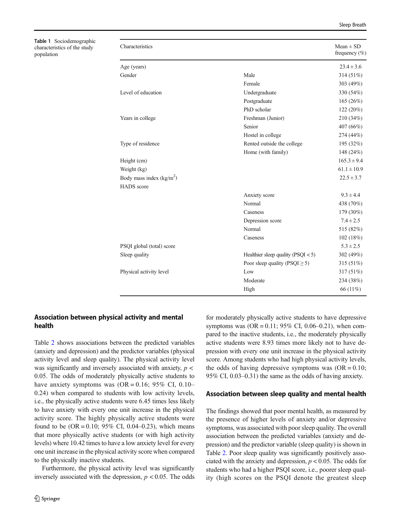<span id="page-3-0"></span>

|            | Table 1 Sociodemographic     |
|------------|------------------------------|
|            | characteristics of the study |
| population |                              |

| Characteristics           |                                        | $Mean \pm SD$<br>frequency $(\% )$ |
|---------------------------|----------------------------------------|------------------------------------|
| Age (years)               |                                        | $23.4 \pm 3.6$                     |
| Gender                    | Male                                   | 314(51%)                           |
|                           | Female                                 | 303 $(49%)$                        |
| Level of education        | Undergraduate                          | 330 (54%)                          |
|                           | Postgraduate                           | 165 $(26%)$                        |
|                           | PhD scholar                            | $122(20\%)$                        |
| Years in college          | Freshman (Junior)                      | 210 (34%)                          |
|                           | Senior                                 | 407 (66%)                          |
|                           | Hostel in college                      | 274 (44%)                          |
| Type of residence         | Rented outside the college             | 195 (32%)                          |
|                           | Home (with family)                     | 148 (24%)                          |
| Height (cm)               |                                        | $165.3 \pm 9.4$                    |
| Weight (kg)               |                                        | $61.1 \pm 10.9$                    |
| Body mass index $(kg/m2)$ |                                        | $22.5 \pm 3.7$                     |
| <b>HADS</b> score         |                                        |                                    |
|                           | Anxiety score                          | $9.3 \pm 4.4$                      |
|                           | Normal                                 | 438 (70%)                          |
|                           | Caseness                               | 179 (30%)                          |
|                           | Depression score                       | $7.4 \pm 2.5$                      |
|                           | Normal                                 | 515 (82%)                          |
|                           | Caseness                               | 102(18%)                           |
| PSQI global (total) score |                                        | $5.3 \pm 2.5$                      |
| Sleep quality             | Healthier sleep quality ( $PSQI < 5$ ) | 302(49%)                           |
|                           | Poor sleep quality (PSQI $\geq$ 5)     | 315(51%)                           |
| Physical activity level   | Low                                    | 317(51%)                           |
|                           | Moderate                               | 234 (38%)                          |
|                           | High                                   | 66 (11\%)                          |

## Association between physical activity and mental health

Table [2](#page-4-0) shows associations between the predicted variables (anxiety and depression) and the predictor variables (physical activity level and sleep quality). The physical activity level was significantly and inversely associated with anxiety,  $p <$ 0.05. The odds of moderately physically active students to have anxiety symptoms was  $(OR = 0.16; 95\% \text{ CI}, 0.10-$ 0.24) when compared to students with low activity levels, i.e., the physically active students were 6.45 times less likely to have anxiety with every one unit increase in the physical activity score. The highly physically active students were found to be  $(OR = 0.10; 95\% \text{ CI}, 0.04-0.23)$ , which means that more physically active students (or with high activity levels) where 10.42 times to have a low anxiety level for every one unit increase in the physical activity score when compared to the physically inactive students.

Furthermore, the physical activity level was significantly inversely associated with the depression,  $p < 0.05$ . The odds

for moderately physically active students to have depressive symptoms was  $(OR = 0.11; 95\% \text{ CI}, 0.06-0.21)$ , when compared to the inactive students, i.e., the moderately physically active students were 8.93 times more likely not to have depression with every one unit increase in the physical activity score. Among students who had high physical activity levels, the odds of having depressive symptoms was  $(OR = 0.10;$ 95% CI, 0.03–0.31) the same as the odds of having anxiety.

#### Association between sleep quality and mental health

The findings showed that poor mental health, as measured by the presence of higher levels of anxiety and/or depressive symptoms, was associated with poor sleep quality. The overall association between the predicted variables (anxiety and depression) and the predictor variable (sleep quality) is shown in Table [2](#page-4-0). Poor sleep quality was significantly positively associated with the anxiety and depression,  $p < 0.05$ . The odds for students who had a higher PSQI score, i.e., poorer sleep quality (high scores on the PSQI denote the greatest sleep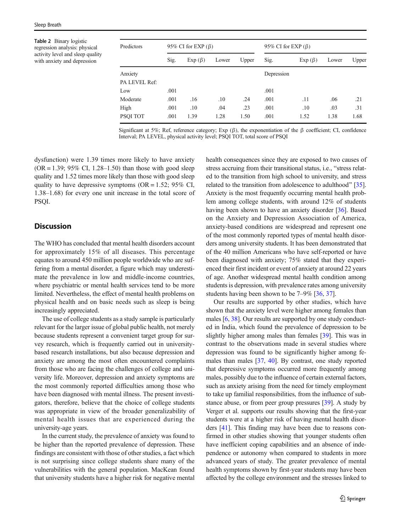<span id="page-4-0"></span>Table 2 Binary logistic regression analysis: physical activity level and sleep quality with anxiety and depression

| Predictors    | 95% CI for EXP $(\beta)$ |                |       | 95% CI for EXP $(\beta)$ |            |              |       |       |
|---------------|--------------------------|----------------|-------|--------------------------|------------|--------------|-------|-------|
|               | Sig.                     | $Exp( \beta )$ | Lower | Upper                    | Sig.       | $Exp(\beta)$ | Lower | Upper |
| Anxiety       |                          |                |       |                          | Depression |              |       |       |
| PA LEVEL Ref: |                          |                |       |                          |            |              |       |       |
| Low           | .001                     |                |       |                          | .001       |              |       |       |
| Moderate      | .001                     | .16            | .10   | .24                      | .001       | .11          | .06   | .21   |
| High          | .001                     | .10            | .04   | .23                      | .001       | .10          | .03   | .31   |
| PSQI TOT      | .001                     | 1.39           | 1.28  | 1.50                     | .001       | 1.52         | 1.38  | 1.68  |

Significant at 5%; Ref, reference category; Exp ( $\beta$ ), the exponentiation of the  $\beta$  coefficient; CI, confidence Interval; PA LEVEL, physical activity level; PSQI TOT, total score of PSQI

dysfunction) were 1.39 times more likely to have anxiety  $(OR = 1.39; 95\% \text{ CI}, 1.28-1.50)$  than those with good sleep quality and 1.52 times more likely than those with good sleep quality to have depressive symptoms ( $OR = 1.52$ ; 95% CI, 1.38–1.68) for every one unit increase in the total score of PSQI.

## **Discussion**

The WHO has concluded that mental health disorders account for approximately 15% of all diseases. This percentage equates to around 450 million people worldwide who are suffering from a mental disorder, a figure which may underestimate the prevalence in low and middle-income countries, where psychiatric or mental health services tend to be more limited. Nevertheless, the effect of mental health problems on physical health and on basic needs such as sleep is being increasingly appreciated.

The use of college students as a study sample is particularly relevant for the larger issue of global public health, not merely because students represent a convenient target group for survey research, which is frequently carried out in universitybased research installations, but also because depression and anxiety are among the most often encountered complaints from those who are facing the challenges of college and university life. Moreover, depression and anxiety symptoms are the most commonly reported difficulties among those who have been diagnosed with mental illness. The present investigators, therefore, believe that the choice of college students was appropriate in view of the broader generalizability of mental health issues that are experienced during the university-age years.

In the current study, the prevalence of anxiety was found to be higher than the reported prevalence of depression. These findings are consistent with those of other studies, a fact which is not surprising since college students share many of the vulnerabilities with the general population. MacKean found that university students have a higher risk for negative mental health consequences since they are exposed to two causes of stress accruing from their transitional status, i.e., "stress related to the transition from high school to university, and stress related to the transition from adolescence to adulthood" [[35\]](#page-6-0). Anxiety is the most frequently occurring mental health problem among college students, with around 12% of students having been shown to have an anxiety disorder [[36](#page-6-0)]. Based on the Anxiety and Depression Association of America, anxiety-based conditions are widespread and represent one of the most commonly reported types of mental health disorders among university students. It has been demonstrated that of the 40 million Americans who have self-reported or have been diagnosed with anxiety; 75% stated that they experienced their first incident or event of anxiety at around 22 years of age. Another widespread mental health condition among students is depression, with prevalence rates among university students having been shown to be 7–9% [\[36](#page-6-0), [37](#page-6-0)].

Our results are supported by other studies, which have shown that the anxiety level were higher among females than males [[6,](#page-6-0) [38](#page-7-0)]. Our results are supported by one study conducted in India, which found the prevalence of depression to be slightly higher among males than females [[39\]](#page-7-0). This was in contrast to the observations made in several studies where depression was found to be significantly higher among females than males [\[37](#page-6-0), [40](#page-7-0)]. By contrast, one study reported that depressive symptoms occurred more frequently among males, possibly due to the influence of certain external factors, such as anxiety arising from the need for timely employment to take up familial responsibilities, from the influence of substance abuse, or from peer group pressures [\[39](#page-7-0)]. A study by Verger et al. supports our results showing that the first-year students were at a higher risk of having mental health disorders [\[41\]](#page-7-0). This finding may have been due to reasons confirmed in other studies showing that younger students often have inefficient coping capabilities and an absence of independence or autonomy when compared to students in more advanced years of study. The greater prevalence of mental health symptoms shown by first-year students may have been affected by the college environment and the stresses linked to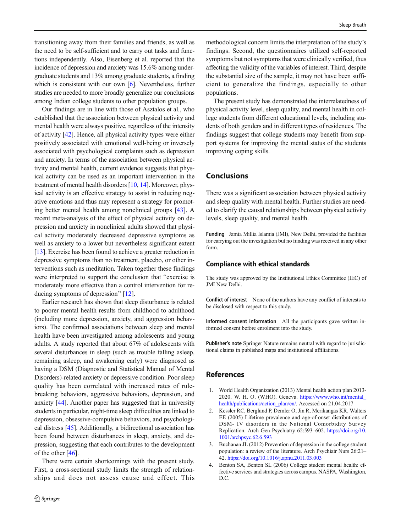<span id="page-5-0"></span>transitioning away from their families and friends, as well as the need to be self-sufficient and to carry out tasks and functions independently. Also, Eisenberg et al. reported that the incidence of depression and anxiety was 15.6% among undergraduate students and 13% among graduate students, a finding which is consistent with our own [[6](#page-6-0)]. Nevertheless, further studies are needed to more broadly generalize our conclusions among Indian college students to other population groups.

Our findings are in line with those of Asztalos et al., who established that the association between physical activity and mental health were always positive, regardless of the intensity of activity [\[42](#page-7-0)]. Hence, all physical activity types were either positively associated with emotional well-being or inversely associated with psychological complaints such as depression and anxiety. In terms of the association between physical activity and mental health, current evidence suggests that physical activity can be used as an important intervention in the treatment of mental health disorders [[10](#page-6-0), [14\]](#page-6-0). Moreover, physical activity is an effective strategy to assist in reducing negative emotions and thus may represent a strategy for promoting better mental health among nonclinical groups [[43\]](#page-7-0). A recent meta-analysis of the effect of physical activity on depression and anxiety in nonclinical adults showed that physical activity moderately decreased depressive symptoms as well as anxiety to a lower but nevertheless significant extent [\[13\]](#page-6-0). Exercise has been found to achieve a greater reduction in depressive symptoms than no treatment, placebo, or other interventions such as meditation. Taken together these findings were interpreted to support the conclusion that "exercise is moderately more effective than a control intervention for reducing symptoms of depression"  $[12]$  $[12]$  $[12]$ .

Earlier research has shown that sleep disturbance is related to poorer mental health results from childhood to adulthood (including more depression, anxiety, and aggression behaviors). The confirmed associations between sleep and mental health have been investigated among adolescents and young adults. A study reported that about 67% of adolescents with several disturbances in sleep (such as trouble falling asleep, remaining asleep, and awakening early) were diagnosed as having a DSM (Diagnostic and Statistical Manual of Mental Disorders)-related anxiety or depressive condition. Poor sleep quality has been correlated with increased rates of rulebreaking behaviors, aggressive behaviors, depression, and anxiety [[44\]](#page-7-0). Another paper has suggested that in university students in particular, night-time sleep difficulties are linked to depression, obsessive-compulsive behaviors, and psychological distress [[45\]](#page-7-0). Additionally, a bidirectional association has been found between disturbances in sleep, anxiety, and depression, suggesting that each contributes to the development of the other [[46\]](#page-7-0).

There were certain shortcomings with the present study. First, a cross-sectional study limits the strength of relationships and does not assess cause and effect. This methodological concern limits the interpretation of the study's findings. Second, the questionnaires utilized self-reported symptoms but not symptoms that were clinically verified, thus affecting the validity of the variables of interest. Third, despite the substantial size of the sample, it may not have been sufficient to generalize the findings, especially to other populations.

The present study has demonstrated the interrelatedness of physical activity level, sleep quality, and mental health in college students from different educational levels, including students of both genders and in different types of residences. The findings suggest that college students may benefit from support systems for improving the mental status of the students improving coping skills.

# Conclusions

There was a significant association between physical activity and sleep quality with mental health. Further studies are needed to clarify the causal relationships between physical activity levels, sleep quality, and mental health.

Funding Jamia Millia Islamia (JMI), New Delhi, provided the facilities for carrying out the investigation but no funding was received in any other form.

#### Compliance with ethical standards

The study was approved by the Institutional Ethics Committee (IEC) of JMI New Delhi.

Conflict of interest None of the authors have any conflict of interests to be disclosed with respect to this study.

Informed consent information All the participants gave written informed consent before enrolment into the study.

Publisher's note Springer Nature remains neutral with regard to jurisdictional claims in published maps and institutional affiliations.

# References

- 1. World Health Organization (2013) Mental health action plan 2013- 2020. W. H. O. (WHO). Geneva. [https://www.who.int/mental\\_](https://www.who.int/mental_health/publications/action_plan/en/) [health/publications/action\\_plan/en/.](https://www.who.int/mental_health/publications/action_plan/en/) Accessed on 21.04.2017
- 2. Kessler RC, Berglund P, Demler O, Jin R, Merikangas KR, Walters EE (2005) Lifetime prevalence and age-of-onset distributions of DSM- IV disorders in the National Comorbidity Survey Replication. Arch Gen Psychiatry 62:593–602. [https://doi.org/10.](https://doi.org/10.1001/archpsyc.62.6.593) [1001/archpsyc.62.6.593](https://doi.org/10.1001/archpsyc.62.6.593)
- 3. Buchanan JL (2012) Prevention of depression in the college student population: a review of the literature. Arch Psychiatr Nurs 26:21– 42. <https://doi.org/10.1016/j.apnu.2011.03.003>
- 4. Benton SA, Benton SL (2006) College student mental health: effective services and strategies across campus. NASPA, Washington, D.C.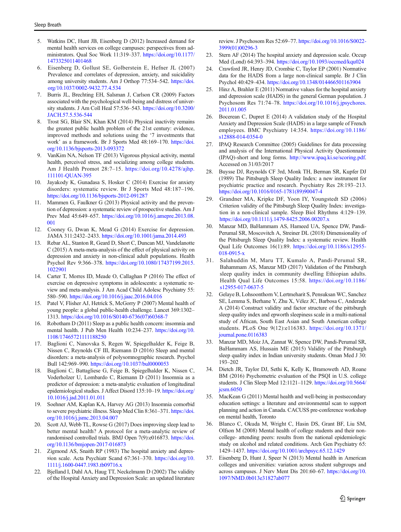- <span id="page-6-0"></span>5. Watkins DC, Hunt JB, Eisenberg D (2012) Increased demand for mental health services on college campuses: perspectives from administrators. Qual Soc Work 11:319–337. [https://doi.org/10.1177/](https://doi.org/10.1177/1473325011401468) [1473325011401468](https://doi.org/10.1177/1473325011401468)
- 6. Eisenberg D, Gollust SE, Golberstein E, Hefner JL (2007) Prevalence and correlates of depression, anxiety, and suicidality among university students. Am J Orthop 77:534–542. [https://doi.](https://doi.org/10.1037/0002-9432.77.4.534) [org/10.1037/0002-9432.77.4.534](https://doi.org/10.1037/0002-9432.77.4.534)
- 7. Burris JL, Brechting EH, Salsman J, Carlson CR (2009) Factors associated with the psychological well-being and distress of university students. J Am Coll Heal 57:536–543. [https://doi.org/10.3200/](https://doi.org/10.3200/JACH.57.5.536-544) [JACH.57.5.536-544](https://doi.org/10.3200/JACH.57.5.536-544)
- 8. Trost SG, Blair SN, Khan KM (2014) Physical inactivity remains the greatest public health problem of the 21st century: evidence, improved methods and solutions using the '7 investments that work' as a framework. Br J Sports Med 48:169–170. [https://doi.](https://doi.org/10.1136/bjsports-2013-093372) [org/10.1136/bjsports-2013-093372](https://doi.org/10.1136/bjsports-2013-093372)
- VanKim NA, Nelson TF (2013) Vigorous physical activity, mental health, perceived stress, and socializing among college students. Am J Health Promot 28:7–15. [https://doi.org/10.4278/ajhp.](https://doi.org/10.4278/ajhp.111101-QUAN-395) [111101-QUAN-395](https://doi.org/10.4278/ajhp.111101-QUAN-395)
- 10. Jayakody K, Gunadasa S, Hosker C (2014) Exercise for anxiety disorders: systematic review. Br J Sports Med 48:187–196. <https://doi.org/10.1136/bjsports-2012-091287>
- 11. Mammen G, Faulkner G (2013) Physical activity and the prevention of depression: a systematic review of prospective studies. Am J Prev Med 45:649–657. [https://doi.org/10.1016/j.amepre.2013.08.](https://doi.org/10.1016/j.amepre.2013.08.001) [001](https://doi.org/10.1016/j.amepre.2013.08.001)
- 12. Cooney G, Dwan K, Mead G (2014) Exercise for depression. JAMA 311:2432–2433. <https://doi.org/10.1001/jama.2014.493>
- 13. Rebar AL, Stanton R, Geard D, Short C, Duncan MJ, Vandelanotte C (2015) A meta-meta-analysis of the effect of physical activity on depression and anxiety in non-clinical adult populations. Health Psychol Rev 9:366–378. [https://doi.org/10.1080/17437199.2015.](https://doi.org/10.1080/17437199.2015.1022901) [1022901](https://doi.org/10.1080/17437199.2015.1022901)
- 14. Carter T, Morres ID, Meade O, Callaghan P (2016) The effect of exercise on depressive symptoms in adolescents: a systematic review and meta-analysis. J Am Acad Child Adolesc Psychiatry 55: 580–590. <https://doi.org/10.1016/j.jaac.2016.04.016>
- 15. Patel V, Flisher AJ, Hetrick S, McGorry P (2007) Mental health of young people: a global public-health challenge. Lancet 369:1302– 1313. [https://doi.org/10.1016/S0140-6736\(07\)60368-7](https://doi.org/10.1016/S0140-6736(07)60368-7)
- 16. Robotham D (2011) Sleep as a public health concern: insomnia and mental health. J Pub Men Health 10:234–237. [https://doi.org/10.](https://doi.org/10.1108/17465721111188250) [1108/17465721111188250](https://doi.org/10.1108/17465721111188250)
- 17. Baglioni C, Nanovska S, Regen W, Spiegelhalder K, Feige B, Nissen C, Reynolds CF III, Riemann D (2016) Sleep and mental disorders: a meta-analysis of polysomnographic research. Psychol Bull 142:969–990. <https://doi.org/10.1037/bul0000053>
- 18. Baglioni C, Battagliese G, Feige B, Spiegelhalder K, Nissen C, Voderholzer U, Lombardo C, Riemann D (2011) Insomnia as a predictor of depression: a meta-analytic evaluation of longitudinal epidemiological studies. J Affect Disord 135:10–19. [https://doi.org/](https://doi.org/10.1016/j.jad.2011.01.011) [10.1016/j.jad.2011.01.011](https://doi.org/10.1016/j.jad.2011.01.011)
- 19. Soehner AM, Kaplan KA, Harvey AG (2013) Insomnia comorbid to severe psychiatric illness. Sleep Med Clin 8:361–371. [https://doi.](https://doi.org/10.1016/j.jsmc.2013.04.007) [org/10.1016/j.jsmc.2013.04.007](https://doi.org/10.1016/j.jsmc.2013.04.007)
- 20. Scott AJ, Webb TL, Rowse G (2017) Does improving sleep lead to better mental health? A protocol for a meta-analytic review of randomised controlled trials. BMJ Open 7(9):e016873. [https://doi.](https://doi.org/10.1136/bmjopen-2017-016873) [org/10.1136/bmjopen-2017-016873](https://doi.org/10.1136/bmjopen-2017-016873)
- 21. Zigmond AS, Snaith RP (1983) The hospital anxiety and depression scale. Acta Psychiatr Scand 67:361–370. [https://doi.org/10.](https://doi.org/10.1111/j.1600-0447.1983.tb09716.x) [1111/j.1600-0447.1983.tb09716.x](https://doi.org/10.1111/j.1600-0447.1983.tb09716.x)
- 22. Bjelland I, Dahl AA, Haug TT, Neckelmann D (2002) The validity of the Hospital Anxiety and Depression Scale: an updated literature

review. J Psychosom Res 52:69–77. [https://doi.org/10.1016/S0022-](https://doi.org/10.1016/S0022-3999(01)00296-3) [3999\(01\)00296-3](https://doi.org/10.1016/S0022-3999(01)00296-3)

- 23. Stern AF (2014) The hospital anxiety and depression scale. Occup Med (Lond) 64:393–394. <https://doi.org/10.1093/occmed/kqu024>
- 24. Crawford JR, Henry JD, Crombie C, Taylor EP (2001) Normative data for the HADS from a large non-clinical sample. Br J Clin Psychol 40:429–434. <https://doi.org/10.1348/014466501163904>
- 25. Hinz A, Brahler E (2011) Normative values for the hospital anxiety and depression scale (HADS) in the general German population. J Psychosom Res 71:74–78. [https://doi.org/10.1016/j.jpsychores.](https://doi.org/10.1016/j.jpsychores.2011.01.005) [2011.01.005](https://doi.org/10.1016/j.jpsychores.2011.01.005)
- 26. Bocerean C, Dupret E (2014) A validation study of the Hospital Anxiety and Depression Scale (HADS) in a large sample of French employees. BMC Psychiatry 14:354. [https://doi.org/10.1186/](https://doi.org/10.1186/s12888-014-0354-0) [s12888-014-0354-0](https://doi.org/10.1186/s12888-014-0354-0)
- 27. IPAQ Research Committee (2005) Guidelines for data processing and analysis of the International Physical Activity Questionnaire (IPAQ)-short and long forms. <http://www.ipaq.ki.se/scoring.pdf>. Accessed on 31/03/2017
- 28. Buysse DJ, Reynolds CF 3rd, Monk TH, Berman SR, Kupfer DJ (1989) The Pittsburgh Sleep Quality Index: a new instrument for psychiatric practice and research. Psychiatry Res 28:193–213. [https://doi.org/10.1016/0165-1781\(89\)90047-4](https://doi.org/10.1016/0165-1781(89)90047-4)
- 29. Grandner MA, Kripke DF, Yoon IY, Youngstedt SD (2006) Criterion validity of the Pittsburgh Sleep Quality Index: investigation in a non-clinical sample. Sleep Biol Rhythms 4:129–139. <https://doi.org/10.1111/j.1479-8425.2006.00207.x>
- 30. Manzar MD, BaHammam AS, Hameed UA, Spence DW, Pandi-Perumal SR, Moscovitch A, Streiner DL (2018) Dimensionality of the Pittsburgh Sleep Quality Index: a systematic review. Health Qual Life Outcomes 16(1):89. [https://doi.org/10.1186/s12955-](https://doi.org/10.1186/s12955-018-0915-x) [018-0915-x](https://doi.org/10.1186/s12955-018-0915-x)
- 31. Salahuddin M, Maru TT, Kumalo A, Pandi-Perumal SR, Bahammam AS, Manzar MD (2017) Validation of the Pittsburgh sleep quality index in community dwelling Ethiopian adults. Health Qual Life Outcomes 15:58. [https://doi.org/10.1186/](https://doi.org/10.1186/s12955-017-0637-5) [s12955-017-0637-5](https://doi.org/10.1186/s12955-017-0637-5)
- 32. Gelaye B, Lohsoonthorn V, Lertmeharit S, Pensuksan WC, Sanchez SE, Lemma S, Berhane Y, Zhu X, Vélez JC, Barbosa C, Anderade A (2014) Construct validity and factor structure of the pittsburgh sleep quality index and epworth sleepiness scale in a multi-national study of African, South East Asian and South American college students. PLoS One 9(12):e116383. [https://doi.org/10.1371/](https://doi.org/10.1371/journal.pone.0116383) [journal.pone.0116383](https://doi.org/10.1371/journal.pone.0116383)
- 33. Manzar MD, Moiz JA, Zannat W, Spence DW, Pandi-Perumal SR, BaHammam AS, Hussain ME (2015) Validity of the Pittsburgh sleep quality index in Indian university students. Oman Med J 30: 193–202
- 34. Dietch JR, Taylor DJ, Sethi K, Kelly K, Bramoweth AD, Roane BM (2016) Psychometric evaluation of the PSQI in U.S. college students. J Clin Sleep Med 12:1121–1129. [https://doi.org/10.5664/](https://doi.org/10.5664/jcsm.6050) [jcsm.6050](https://doi.org/10.5664/jcsm.6050)
- 35. MacKean G (2011) Mental health and well-being in postsecondary education settings: a literature and environmental scan to support planning and action in Canada. CACUSS pre-conference workshop on mental health, Toronto
- 36. Blanco C, Okuda M, Wright C, Hasin DS, Grant BF, Liu SM, Olfson M (2008) Mental health of college students and their noncollege- attending peers: results from the national epidemiologic study on alcohol and related conditions. Arch Gen Psychiatry 65: 1429–1437. <https://doi.org/10.1001/archpsyc.65.12.1429>
- 37. Eisenberg D, Hunt J, Speer N (2013) Mental health in American colleges and universities: variation across student subgroups and across campuses. J Nerv Ment Dis 201:60–67. [https://doi.org/10.](https://doi.org/10.1097/NMD.0b013e31827ab077) [1097/NMD.0b013e31827ab077](https://doi.org/10.1097/NMD.0b013e31827ab077)